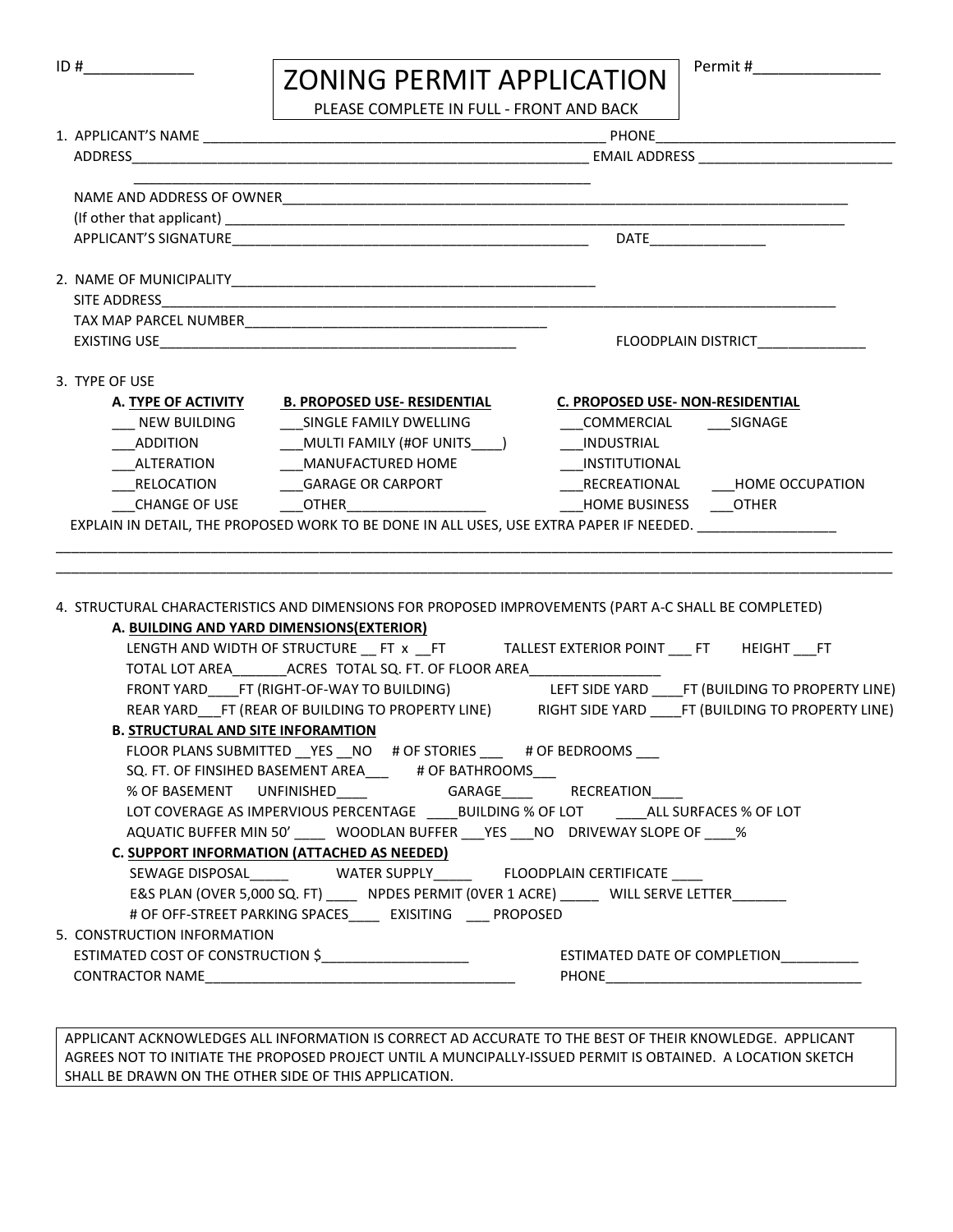| ID # | <b>ZONING PERMIT APPLICATION</b> |  |
|------|----------------------------------|--|
|------|----------------------------------|--|

PLEASE COMPLETE IN FULL - FRONT AND BACK

| NAME AND ADDRESS OF OWNER                                                                                                                                                                          |                                                                                |  |  |  |  |  |  |  |  |  |  |  |
|----------------------------------------------------------------------------------------------------------------------------------------------------------------------------------------------------|--------------------------------------------------------------------------------|--|--|--|--|--|--|--|--|--|--|--|
|                                                                                                                                                                                                    |                                                                                |  |  |  |  |  |  |  |  |  |  |  |
|                                                                                                                                                                                                    |                                                                                |  |  |  |  |  |  |  |  |  |  |  |
|                                                                                                                                                                                                    |                                                                                |  |  |  |  |  |  |  |  |  |  |  |
|                                                                                                                                                                                                    |                                                                                |  |  |  |  |  |  |  |  |  |  |  |
|                                                                                                                                                                                                    |                                                                                |  |  |  |  |  |  |  |  |  |  |  |
|                                                                                                                                                                                                    | FLOODPLAIN DISTRICT                                                            |  |  |  |  |  |  |  |  |  |  |  |
| 3. TYPE OF USE                                                                                                                                                                                     |                                                                                |  |  |  |  |  |  |  |  |  |  |  |
| A. TYPE OF ACTIVITY B. PROPOSED USE- RESIDENTIAL                                                                                                                                                   | <b>C. PROPOSED USE- NON-RESIDENTIAL</b>                                        |  |  |  |  |  |  |  |  |  |  |  |
| ____ NEW BUILDING                                                                                                                                                                                  | ____ SINGLE FAMILY DWELLING ____________________COMMERCIAL ____________SIGNAGE |  |  |  |  |  |  |  |  |  |  |  |
|                                                                                                                                                                                                    |                                                                                |  |  |  |  |  |  |  |  |  |  |  |
| ___ALTERATION __________MANUFACTURED HOME                                                                                                                                                          | ___INSTITUTIONAL                                                               |  |  |  |  |  |  |  |  |  |  |  |
|                                                                                                                                                                                                    |                                                                                |  |  |  |  |  |  |  |  |  |  |  |
| __CHANGE OF USE    ____OTHER________________________     ____HOME BUSINESS   ___OTHER                                                                                                              |                                                                                |  |  |  |  |  |  |  |  |  |  |  |
|                                                                                                                                                                                                    |                                                                                |  |  |  |  |  |  |  |  |  |  |  |
|                                                                                                                                                                                                    |                                                                                |  |  |  |  |  |  |  |  |  |  |  |
|                                                                                                                                                                                                    |                                                                                |  |  |  |  |  |  |  |  |  |  |  |
|                                                                                                                                                                                                    |                                                                                |  |  |  |  |  |  |  |  |  |  |  |
|                                                                                                                                                                                                    |                                                                                |  |  |  |  |  |  |  |  |  |  |  |
| A. BUILDING AND YARD DIMENSIONS(EXTERIOR)                                                                                                                                                          |                                                                                |  |  |  |  |  |  |  |  |  |  |  |
| LENGTH AND WIDTH OF STRUCTURE __ FT x __FT TALLEST EXTERIOR POINT ___ FT HEIGHT ___FT                                                                                                              |                                                                                |  |  |  |  |  |  |  |  |  |  |  |
| TOTAL LOT AREA__________ ACRES TOTAL SQ. FT. OF FLOOR AREA______________________                                                                                                                   |                                                                                |  |  |  |  |  |  |  |  |  |  |  |
| FRONT YARD____FT (RIGHT-OF-WAY TO BUILDING) LEFT SIDE YARD ____FT (BUILDING TO PROPERTY LINE)                                                                                                      |                                                                                |  |  |  |  |  |  |  |  |  |  |  |
| REAR YARD___FT (REAR OF BUILDING TO PROPERTY LINE) RIGHT SIDE YARD _____FT (BUILDING TO PROPERTY LINE)                                                                                             |                                                                                |  |  |  |  |  |  |  |  |  |  |  |
| <b>B. STRUCTURAL AND SITE INFORAMTION</b>                                                                                                                                                          |                                                                                |  |  |  |  |  |  |  |  |  |  |  |
| FLOOR PLANS SUBMITTED __ YES __ NO # OF STORIES ___ # OF BEDROOMS ___                                                                                                                              |                                                                                |  |  |  |  |  |  |  |  |  |  |  |
| SQ. FT. OF FINSIHED BASEMENT AREA____ # OF BATHROOMS___                                                                                                                                            |                                                                                |  |  |  |  |  |  |  |  |  |  |  |
| % OF BASEMENT UNFINISHED______ GARAGE____ RECREATION____                                                                                                                                           |                                                                                |  |  |  |  |  |  |  |  |  |  |  |
| LOT COVERAGE AS IMPERVIOUS PERCENTAGE _____BUILDING % OF LOT ______ALL SURFACES % OF LOT                                                                                                           |                                                                                |  |  |  |  |  |  |  |  |  |  |  |
| AQUATIC BUFFER MIN 50' _____ WOODLAN BUFFER ___ YES ___ NO __ DRIVEWAY SLOPE OF _____%<br><b>C. SUPPORT INFORMATION (ATTACHED AS NEEDED)</b>                                                       |                                                                                |  |  |  |  |  |  |  |  |  |  |  |
|                                                                                                                                                                                                    |                                                                                |  |  |  |  |  |  |  |  |  |  |  |
| SEWAGE DISPOSAL_______    WATER SUPPLY_______  FLOODPLAIN CERTIFICATE                                                                                                                              |                                                                                |  |  |  |  |  |  |  |  |  |  |  |
| E&S PLAN (OVER 5,000 SQ. FT) _____ NPDES PERMIT (OVER 1 ACRE) _____ WILL SERVE LETTER ______                                                                                                       |                                                                                |  |  |  |  |  |  |  |  |  |  |  |
| 4. STRUCTURAL CHARACTERISTICS AND DIMENSIONS FOR PROPOSED IMPROVEMENTS (PART A-C SHALL BE COMPLETED)<br># OF OFF-STREET PARKING SPACES_____ EXISITING ____ PROPOSED<br>5. CONSTRUCTION INFORMATION |                                                                                |  |  |  |  |  |  |  |  |  |  |  |
| ESTIMATED COST OF CONSTRUCTION \$______________________                                                                                                                                            | ESTIMATED DATE OF COMPLETION __________                                        |  |  |  |  |  |  |  |  |  |  |  |

APPLICANT ACKNOWLEDGES ALL INFORMATION IS CORRECT AD ACCURATE TO THE BEST OF THEIR KNOWLEDGE. APPLICANT AGREES NOT TO INITIATE THE PROPOSED PROJECT UNTIL A MUNCIPALLY-ISSUED PERMIT IS OBTAINED. A LOCATION SKETCH SHALL BE DRAWN ON THE OTHER SIDE OF THIS APPLICATION.